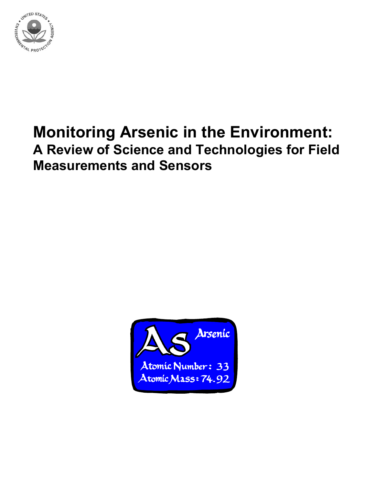

# **Monitoring Arsenic in the Environment: A Review of Science and Technologies for Field Measurements and Sensors**

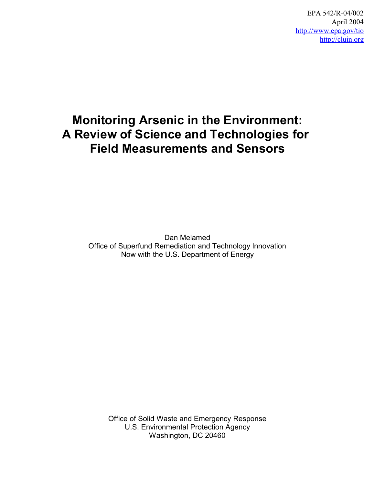EPA 542/R-04/002 April 2004 <http://www.epa.gov/tio> <http://cluin.org>

# **Monitoring Arsenic in the Environment: A Review of Science and Technologies for Field Measurements and Sensors**

Dan Melamed Office of Superfund Remediation and Technology Innovation Now with the U.S. Department of Energy

Office of Solid Waste and Emergency Response U.S. Environmental Protection Agency Washington, DC 20460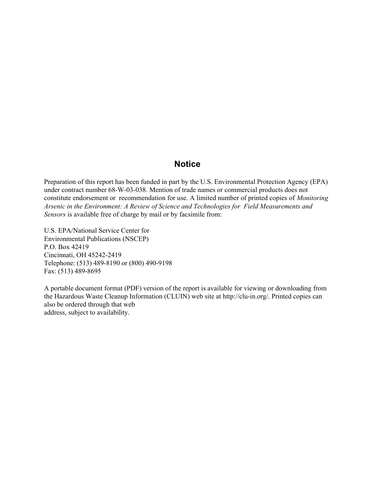## **Notice**

Preparation of this report has been funded in part by the U.S. Environmental Protection Agency (EPA) under contract number 68-W-03-038. Mention of trade names or commercial products does not constitute endorsement or recommendation for use. A limited number of printed copies of *Monitoring Arsenic in the Environment: A Review of Science and Technologies for Field Measurements and Sensors* is available free of charge by mail or by facsimile from:

U.S. EPA/National Service Center for Environmental Publications (NSCEP) P.O. Box 42419 Cincinnati, OH 45242-2419 Telephone: (513) 489-8190 or (800) 490-9198 Fax: (513) 489-8695

A portable document format (PDF) version of the report is available for viewing or downloading from the Hazardous Waste Cleanup Information (CLUIN) web site at [http://clu-in.org/.](http://clu-in.org/) Printed copies can also be ordered through that web address, subject to availability.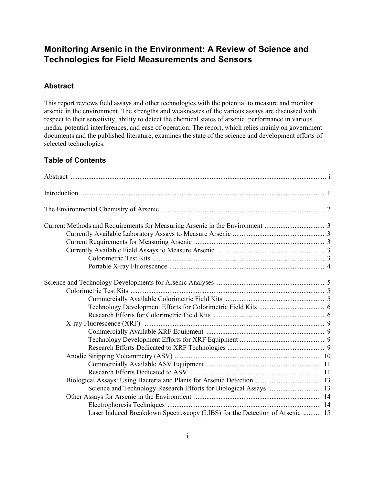## **Monitoring Arsenic in the Environment: A Review of Science and Technologies for Field Measurements and Sensors**

## **Abstract**

This report reviews field assays and other technologies with the potential to measure and monitor arsenic in the environment. The strengths and weaknesses of the various assays are discussed with respect to their sensitivity, ability to detect the chemical states of arsenic, performance in various media, potential interferences, and ease of operation. The report, which relies mainly on government documents and the published literature, examines the state of the science and development efforts of selected technologies.

## **Table of Contents**

| Laser Induced Breakdown Spectroscopy (LIBS) for the Detection of Arsenic  15 |  |
|------------------------------------------------------------------------------|--|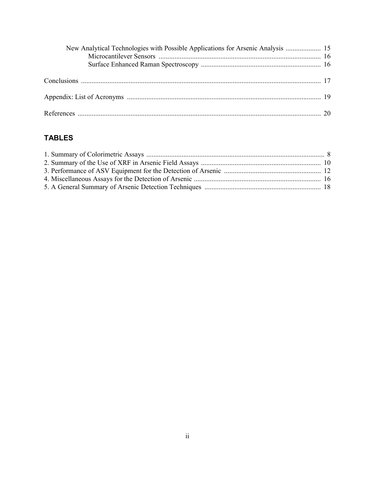| New Analytical Technologies with Possible Applications for Arsenic Analysis  15 |  |
|---------------------------------------------------------------------------------|--|
|                                                                                 |  |
|                                                                                 |  |
|                                                                                 |  |
|                                                                                 |  |
|                                                                                 |  |
|                                                                                 |  |
|                                                                                 |  |

# **TABLES**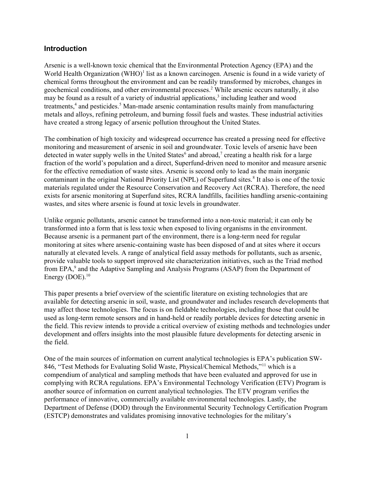#### **Introduction**

Arsenic is a well-known toxic chemical that the Environmental Protection Agency (EPA) and the World Health Organization (WHO)<sup>1</sup> list as a known carcinogen. Arsenic is found in a wide variety of chemical forms throughout the environment and can be readily transformed by microbes, changes in geochemical conditions, and other environmental processes.<sup>2</sup> While arsenic occurs naturally, it also may be found as a result of a variety of industrial applications,<sup>3</sup> including leather and wood treatments,<sup>4</sup> and pesticides.<sup>5</sup> Man-made arsenic contamination results mainly from manufacturing metals and alloys, refining petroleum, and burning fossil fuels and wastes. These industrial activities have created a strong legacy of arsenic pollution throughout the United States.

The combination of high toxicity and widespread occurrence has created a pressing need for effective monitoring and measurement of arsenic in soil and groundwater. Toxic levels of arsenic have been detected in water supply wells in the United States<sup>6</sup> and abroad,<sup>7</sup> creating a health risk for a large fraction of the world's population and a direct, Superfund-driven need to monitor and measure arsenic for the effective remediation of waste sites. Arsenic is second only to lead as the main inorganic contaminant in the original National Priority List (NPL) of Superfund sites.<sup>8</sup> It also is one of the toxic materials regulated under the Resource Conservation and Recovery Act (RCRA). Therefore, the need exists for arsenic monitoring at Superfund sites, RCRA landfills, facilities handling arsenic-containing wastes, and sites where arsenic is found at toxic levels in groundwater.

Unlike organic pollutants, arsenic cannot be transformed into a non-toxic material; it can only be transformed into a form that is less toxic when exposed to living organisms in the environment. Because arsenic is a permanent part of the environment, there is a long-term need for regular monitoring at sites where arsenic-containing waste has been disposed of and at sites where it occurs naturally at elevated levels. A range of analytical field assay methods for pollutants, such as arsenic, provide valuable tools to support improved site characterization initiatives, such as the Triad method from EPA,<sup>9</sup> and the Adaptive Sampling and Analysis Programs (ASAP) from the Department of Energy (DOE). $10$ 

This paper presents a brief overview of the scientific literature on existing technologies that are available for detecting arsenic in soil, waste, and groundwater and includes research developments that may affect those technologies. The focus is on fieldable technologies, including those that could be used as long-term remote sensors and in hand-held or readily portable devices for detecting arsenic in the field. This review intends to provide a critical overview of existing methods and technologies under development and offers insights into the most plausible future developments for detecting arsenic in the field.

One of the main sources of information on current analytical technologies is EPA's publication SW-846, "Test Methods for Evaluating Solid Waste, Physical/Chemical Methods,"<sup>11</sup> which is a compendium of analytical and sampling methods that have been evaluated and approved for use in complying with RCRA regulations. EPA's Environmental Technology Verification (ETV) Program is another source of information on current analytical technologies. The ETV program verifies the performance of innovative, commercially available environmental technologies. Lastly, the Department of Defense (DOD) through the Environmental Security Technology Certification Program (ESTCP) demonstrates and validates promising innovative technologies for the military's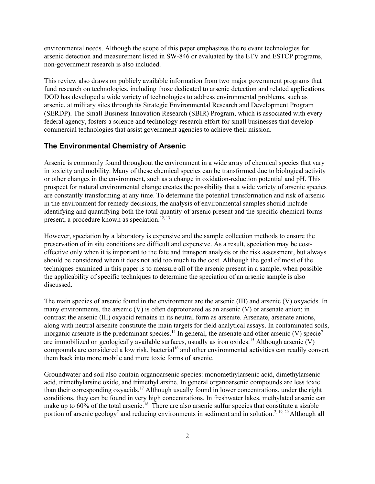environmental needs. Although the scope of this paper emphasizes the relevant technologies for arsenic detection and measurement listed in SW-846 or evaluated by the ETV and ESTCP programs, non-government research is also included.

This review also draws on publicly available information from two major government programs that fund research on technologies, including those dedicated to arsenic detection and related applications. DOD has developed a wide variety of technologies to address environmental problems, such as arsenic, at military sites through its Strategic Environmental Research and Development Program (SERDP). The Small Business Innovation Research (SBIR) Program, which is associated with every federal agency, fosters a science and technology research effort for small businesses that develop commercial technologies that assist government agencies to achieve their mission.

#### **The Environmental Chemistry of Arsenic**

Arsenic is commonly found throughout the environment in a wide array of chemical species that vary in toxicity and mobility. Many of these chemical species can be transformed due to biological activity or other changes in the environment, such as a change in oxidation-reduction potential and pH. This prospect for natural environmental change creates the possibility that a wide variety of arsenic species are constantly transforming at any time. To determine the potential transformation and risk of arsenic in the environment for remedy decisions, the analysis of environmental samples should include identifying and quantifying both the total quantity of arsenic present and the specific chemical forms present, a procedure known as speciation.<sup>12, 13</sup>

However, speciation by a laboratory is expensive and the sample collection methods to ensure the preservation of in situ conditions are difficult and expensive. As a result, speciation may be costeffective only when it is important to the fate and transport analysis or the risk assessment, but always should be considered when it does not add too much to the cost. Although the goal of most of the techniques examined in this paper is to measure all of the arsenic present in a sample, when possible the applicability of specific techniques to determine the speciation of an arsenic sample is also discussed.

The main species of arsenic found in the environment are the arsenic (III) and arsenic (V) oxyacids. In many environments, the arsenic (V) is often deprotonated as an arsenic (V) or arsenate anion; in contrast the arsenic (III) oxyacid remains in its neutral form as arsenite. Arsenate, arsenate anions, along with neutral arsenite constitute the main targets for field analytical assays. In contaminated soils, inorganic arsenate is the predominant species.<sup>14</sup> In general, the arsenate and other arsenic (V) specie<sup>7</sup> are immobilized on geologically available surfaces, usually as iron oxides.<sup>15</sup> Although arsenic  $(V)$ compounds are considered a low risk, bacterial<sup>16</sup> and other environmental activities can readily convert them back into more mobile and more toxic forms of arsenic.

Groundwater and soil also contain organoarsenic species: monomethylarsenic acid, dimethylarsenic acid, trimethylarsine oxide, and trimethyl arsine. In general organoarsenic compounds are less toxic than their corresponding oxyacids.17 Although usually found in lower concentrations, under the right conditions, they can be found in very high concentrations. In freshwater lakes, methylated arsenic can make up to 60% of the total arsenic.<sup>18</sup> There are also arsenic sulfur species that constitute a sizable portion of arsenic geology<sup>7</sup> and reducing environments in sediment and in solution.<sup>2, 19, 20</sup> Although all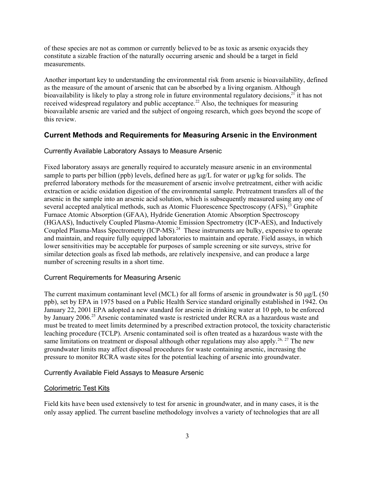of these species are not as common or currently believed to be as toxic as arsenic oxyacids they constitute a sizable fraction of the naturally occurring arsenic and should be a target in field measurements.

Another important key to understanding the environmental risk from arsenic is bioavailability, defined as the measure of the amount of arsenic that can be absorbed by a living organism. Although bioavailability is likely to play a strong role in future environmental regulatory decisions,  $2\overline{1}$  it has not received widespread regulatory and public acceptance.<sup>22</sup> Also, the techniques for measuring bioavailable arsenic are varied and the subject of ongoing research, which goes beyond the scope of this review.

#### **Current Methods and Requirements for Measuring Arsenic in the Environment**

#### Currently Available Laboratory Assays to Measure Arsenic

Fixed laboratory assays are generally required to accurately measure arsenic in an environmental sample to parts per billion (ppb) levels, defined here as  $\mu$ g/L for water or  $\mu$ g/kg for solids. The preferred laboratory methods for the measurement of arsenic involve pretreatment, either with acidic extraction or acidic oxidation digestion of the environmental sample. Pretreatment transfers all of the arsenic in the sample into an arsenic acid solution, which is subsequently measured using any one of several accepted analytical methods, such as Atomic Fluorescence Spectroscopy  $(AFS)$ ,  $^{23}$  Graphite Furnace Atomic Absorption (GFAA), Hydride Generation Atomic Absorption Spectroscopy (HGAAS), Inductively Coupled Plasma-Atomic Emission Spectrometry (ICP-AES), and Inductively Coupled Plasma-Mass Spectrometry (ICP-MS).<sup>24</sup> These instruments are bulky, expensive to operate and maintain, and require fully equipped laboratories to maintain and operate. Field assays, in which lower sensitivities may be acceptable for purposes of sample screening or site surveys, strive for similar detection goals as fixed lab methods, are relatively inexpensive, and can produce a large number of screening results in a short time.

#### Current Requirements for Measuring Arsenic

The current maximum contaminant level (MCL) for all forms of arsenic in groundwater is 50  $\mu$ g/L (50) ppb), set by EPA in 1975 based on a Public Health Service standard originally established in 1942. On January 22, 2001 EPA adopted a new standard for arsenic in drinking water at 10 ppb, to be enforced by January 2006.<sup>25</sup> Arsenic contaminated waste is restricted under RCRA as a hazardous waste and must be treated to meet limits determined by a prescribed extraction protocol, the toxicity characteristic leaching procedure (TCLP). Arsenic contaminated soil is often treated as a hazardous waste with the same limitations on treatment or disposal although other regulations may also apply.<sup>26, 27</sup> The new groundwater limits may affect disposal procedures for waste containing arsenic, increasing the pressure to monitor RCRA waste sites for the potential leaching of arsenic into groundwater.

#### Currently Available Field Assays to Measure Arsenic

#### Colorimetric Test Kits

Field kits have been used extensively to test for arsenic in groundwater, and in many cases, it is the only assay applied. The current baseline methodology involves a variety of technologies that are all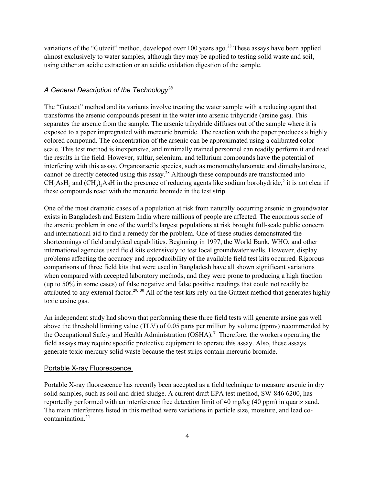variations of the "Gutzeit" method, developed over 100 years ago.<sup>28</sup> These assays have been applied almost exclusively to water samples, although they may be applied to testing solid waste and soil, using either an acidic extraction or an acidic oxidation digestion of the sample.

#### *A General Description of the Technology28*

The "Gutzeit" method and its variants involve treating the water sample with a reducing agent that transforms the arsenic compounds present in the water into arsenic trihydride (arsine gas). This separates the arsenic from the sample. The arsenic trihydride diffuses out of the sample where it is exposed to a paper impregnated with mercuric bromide. The reaction with the paper produces a highly colored compound. The concentration of the arsenic can be approximated using a calibrated color scale. This test method is inexpensive, and minimally trained personnel can readily perform it and read the results in the field. However, sulfur, selenium, and tellurium compounds have the potential of interfering with this assay. Organoarsenic species, such as monomethylarsonate and dimethylarsinate, cannot be directly detected using this assay.<sup>28</sup> Although these compounds are transformed into  $CH_3AsH_2$  and  $(CH_3)_2AsH$  in the presence of reducing agents like sodium borohydride,<sup>2</sup> it is not clear if these compounds react with the mercuric bromide in the test strip.

One of the most dramatic cases of a population at risk from naturally occurring arsenic in groundwater exists in Bangladesh and Eastern India where millions of people are affected. The enormous scale of the arsenic problem in one of the world's largest populations at risk brought full-scale public concern and international aid to find a remedy for the problem. One of these studies demonstrated the shortcomings of field analytical capabilities. Beginning in 1997, the World Bank, WHO, and other international agencies used field kits extensively to test local groundwater wells. However, display problems affecting the accuracy and reproducibility of the available field test kits occurred. Rigorous comparisons of three field kits that were used in Bangladesh have all shown significant variations when compared with accepted laboratory methods, and they were prone to producing a high fraction (up to 50% in some cases) of false negative and false positive readings that could not readily be attributed to any external factor.<sup>29, 30</sup> All of the test kits rely on the Gutzeit method that generates highly toxic arsine gas.

An independent study had shown that performing these three field tests will generate arsine gas well above the threshold limiting value (TLV) of 0.05 parts per million by volume (ppmv) recommended by the Occupational Safety and Health Administration (OSHA).<sup>31</sup> Therefore, the workers operating the field assays may require specific protective equipment to operate this assay. Also, these assays generate toxic mercury solid waste because the test strips contain mercuric bromide.

#### Portable X-ray Fluorescence

Portable X-ray fluorescence has recently been accepted as a field technique to measure arsenic in dry solid samples, such as soil and dried sludge. A current draft EPA test method, SW-846 6200, has reportedly performed with an interference free detection limit of 40 mg/kg (40 ppm) in quartz sand. The main interferents listed in this method were variations in particle size, moisture, and lead cocontamination. 11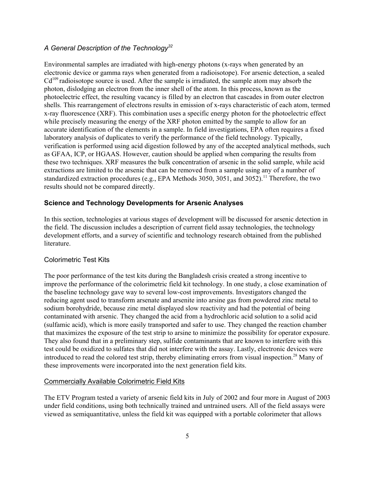## *A General Description of the Technology32*

 $Cd<sup>109</sup>$  radioisotope source is used. After the sample is irradiated, the sample atom may absorb the Environmental samples are irradiated with high-energy photons (x-rays when generated by an electronic device or gamma rays when generated from a radioisotope). For arsenic detection, a sealed photon, dislodging an electron from the inner shell of the atom. In this process, known as the photoelectric effect, the resulting vacancy is filled by an electron that cascades in from outer electron shells. This rearrangement of electrons results in emission of x-rays characteristic of each atom, termed x-ray fluorescence (XRF). This combination uses a specific energy photon for the photoelectric effect while precisely measuring the energy of the XRF photon emitted by the sample to allow for an accurate identification of the elements in a sample. In field investigations, EPA often requires a fixed laboratory analysis of duplicates to verify the performance of the field technology. Typically, verification is performed using acid digestion followed by any of the accepted analytical methods, such as GFAA, ICP, or HGAAS. However, caution should be applied when comparing the results from these two techniques. XRF measures the bulk concentration of arsenic in the solid sample, while acid extractions are limited to the arsenic that can be removed from a sample using any of a number of standardized extraction procedures (e.g., EPA Methods 3050, 3051, and 3052).<sup>11</sup> Therefore, the two results should not be compared directly.

#### **Science and Technology Developments for Arsenic Analyses**

In this section, technologies at various stages of development will be discussed for arsenic detection in the field. The discussion includes a description of current field assay technologies, the technology development efforts, and a survey of scientific and technology research obtained from the published literature.

#### Colorimetric Test Kits

The poor performance of the test kits during the Bangladesh crisis created a strong incentive to improve the performance of the colorimetric field kit technology. In one study, a close examination of the baseline technology gave way to several low-cost improvements. Investigators changed the reducing agent used to transform arsenate and arsenite into arsine gas from powdered zinc metal to sodium borohydride, because zinc metal displayed slow reactivity and had the potential of being contaminated with arsenic. They changed the acid from a hydrochloric acid solution to a solid acid (sulfamic acid), which is more easily transported and safer to use. They changed the reaction chamber that maximizes the exposure of the test strip to arsine to minimize the possibility for operator exposure. They also found that in a preliminary step, sulfide contaminants that are known to interfere with this test could be oxidized to sulfates that did not interfere with the assay. Lastly, electronic devices were introduced to read the colored test strip, thereby eliminating errors from visual inspection.28 Many of these improvements were incorporated into the next generation field kits.

#### Commercially Available Colorimetric Field Kits

The ETV Program tested a variety of arsenic field kits in July of 2002 and four more in August of 2003 under field conditions, using both technically trained and untrained users. All of the field assays were viewed as semiquantitative, unless the field kit was equipped with a portable colorimeter that allows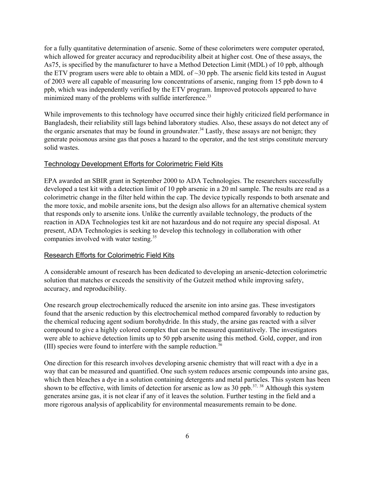for a fully quantitative determination of arsenic. Some of these colorimeters were computer operated, which allowed for greater accuracy and reproducibility albeit at higher cost. One of these assays, the As75, is specified by the manufacturer to have a Method Detection Limit (MDL) of 10 ppb, although the ETV program users were able to obtain a MDL of ~30 ppb. The arsenic field kits tested in August of 2003 were all capable of measuring low concentrations of arsenic, ranging from 15 ppb down to 4 ppb, which was independently verified by the ETV program. Improved protocols appeared to have minimized many of the problems with sulfide interference.<sup>33</sup>

While improvements to this technology have occurred since their highly criticized field performance in Bangladesh, their reliability still lags behind laboratory studies. Also, these assays do not detect any of the organic arsenates that may be found in groundwater.<sup>34</sup> Lastly, these assays are not benign; they generate poisonous arsine gas that poses a hazard to the operator, and the test strips constitute mercury solid wastes.

#### Technology Development Efforts for Colorimetric Field Kits

EPA awarded an SBIR grant in September 2000 to ADA Technologies. The researchers successfully developed a test kit with a detection limit of 10 ppb arsenic in a 20 ml sample. The results are read as a colorimetric change in the filter held within the cap. The device typically responds to both arsenate and the more toxic, and mobile arsenite ions, but the design also allows for an alternative chemical system that responds only to arsenite ions. Unlike the currently available technology, the products of the reaction in ADA Technologies test kit are not hazardous and do not require any special disposal. At present, ADA Technologies is seeking to develop this technology in collaboration with other companies involved with water testing.<sup>35</sup>

#### Research Efforts for Colorimetric Field Kits

A considerable amount of research has been dedicated to developing an arsenic-detection colorimetric solution that matches or exceeds the sensitivity of the Gutzeit method while improving safety, accuracy, and reproducibility.

One research group electrochemically reduced the arsenite ion into arsine gas. These investigators found that the arsenic reduction by this electrochemical method compared favorably to reduction by the chemical reducing agent sodium borohydride. In this study, the arsine gas reacted with a silver compound to give a highly colored complex that can be measured quantitatively. The investigators were able to achieve detection limits up to 50 ppb arsenite using this method. Gold, copper, and iron (III) species were found to interfere with the sample reduction.36

One direction for this research involves developing arsenic chemistry that will react with a dye in a way that can be measured and quantified. One such system reduces arsenic compounds into arsine gas, which then bleaches a dye in a solution containing detergents and metal particles. This system has been shown to be effective, with limits of detection for arsenic as low as 30 ppb.<sup>37, 38</sup> Although this system generates arsine gas, it is not clear if any of it leaves the solution. Further testing in the field and a more rigorous analysis of applicability for environmental measurements remain to be done.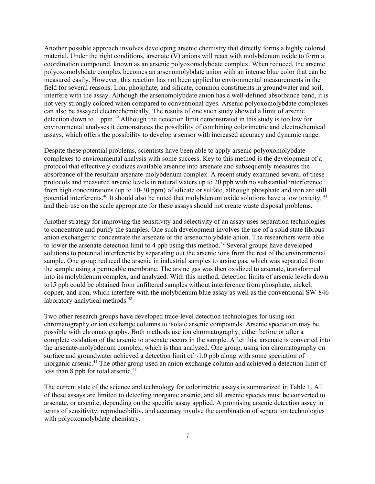Another possible approach involves developing arsenic chemistry that directly forms a highly colored material. Under the right conditions, arsenate (V) anions will react with molybdenum oxide to form a coordination compound, known as an arsenic polyoxomolybdate complex. When reduced, the arsenic polyoxomolybdate complex becomes an arsenomolybdate anion with an intense blue color that can be measured easily. However, this reaction has not been applied to environmental measurements in the field for several reasons. Iron, phosphate, and silicate, common constituents in groundwater and soil, interfere with the assay. Although the arsenomolybdate anion has a well-defined absorbance band, it is not very strongly colored when compared to conventional dyes. Arsenic polyoxomolybdate complexes can also be assayed electrochemically. The results of one such study showed a limit of arsenic detection down to 1 ppm.39 Although the detection limit demonstrated in this study is too low for environmental analyses it demonstrates the possibility of combining colorimetric and electrochemical assays, which offers the possibility to develop a sensor with increased accuracy and dynamic range.

Despite these potential problems, scientists have been able to apply arsenic polyoxomolybdate complexes to environmental analysis with some success. Key to this method is the development of a protocol that effectively oxidizes available arsenite into arsenate and subsequently measures the absorbance of the resultant arsenate-molybdenum complex. A recent study examined several of these protocols and measured arsenic levels in natural waters up to 20 ppb with no substantial interference from high concentrations (up to 10-30 ppm) of silicate or sulfate, although phosphate and iron are still potential interferents.40 It should also be noted that molybdenum oxide solutions have a low toxicity, 41 and their use on the scale appropriate for these assays should not create waste disposal problems.

Another strategy for improving the sensitivity and selectivity of an assay uses separation technologies to concentrate and purify the samples. One such development involves the use of a solid state fibrous anion exchanger to concentrate the arsenate or the arsenomolybdate anion. The researchers were able to lower the arsenate detection limit to 4 ppb using this method.<sup>42</sup> Several groups have developed solutions to potential interferents by separating out the arsenic ions from the rest of the environmental sample. One group reduced the arsenic in industrial samples to arsine gas, which was separated from the sample using a permeable membrane. The arsine gas was then oxidized to arsenate, transformed into its molybdenum complex, and analyzed. With this method, detection limits of arsenic levels down to15 ppb could be obtained from unfiltered samples without interference from phosphate, nickel, copper, and iron, which interfere with the molybdenum blue assay as well as the conventional SW-846 laboratory analytical methods.<sup>43</sup>

Two other research groups have developed trace-level detection technologies for using ion chromatography or ion exchange columns to isolate arsenic compounds. Arsenic speciation may be possible with chromatography. Both methods use ion chromatography, either before or after a complete oxidation of the arsenic to arsenate occurs in the sample. After this, arsenate is converted into the arsenate-molybdenum complex, which is than analyzed. One group, using ion chromatography on surface and groundwater achieved a detection limit of  $\sim$ 1.0 ppb along with some speciation of inorganic arsenic.<sup>44</sup> The other group used an anion exchange column and achieved a detection limit of less than 8 ppb for total arsenic.<sup>45</sup>

The current state of the science and technology for colorimetric assays is summarized in Table 1. All of these assays are limited to detecting inorganic arsenic, and all arsenic species must be converted to arsenate, or arsenite, depending on the specific assay applied. A promising arsenic detection assay in terms of sensitivity, reproducibility, and accuracy involve the combination of separation technologies with polyoxomolybdate chemistry.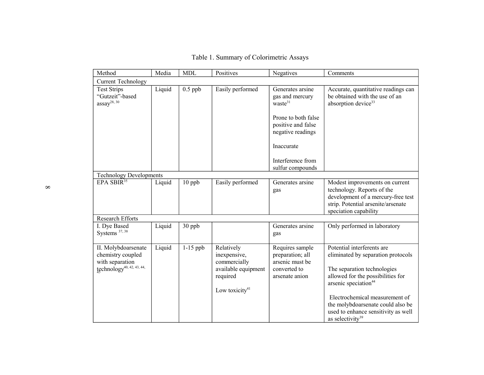| Method                                                                                               | Media  | <b>MDL</b> | Positives                                                                                          | Negatives                                                                                                                                                                           | Comments                                                                                                                                                                                                                                                                                                               |
|------------------------------------------------------------------------------------------------------|--------|------------|----------------------------------------------------------------------------------------------------|-------------------------------------------------------------------------------------------------------------------------------------------------------------------------------------|------------------------------------------------------------------------------------------------------------------------------------------------------------------------------------------------------------------------------------------------------------------------------------------------------------------------|
| <b>Current Technology</b>                                                                            |        |            |                                                                                                    |                                                                                                                                                                                     |                                                                                                                                                                                                                                                                                                                        |
| <b>Test Strips</b><br>"Gutzeit"-based<br>$assay^{28, 30}$                                            | Liquid | $0.5$ ppb  | Easily performed                                                                                   | Generates arsine<br>gas and mercury<br>waste <sup>31</sup><br>Prone to both false<br>positive and false<br>negative readings<br>Inaccurate<br>Interference from<br>sulfur compounds | Accurate, quantitative readings can<br>be obtained with the use of an<br>absorption device <sup>33</sup>                                                                                                                                                                                                               |
| <b>Technology Developments</b>                                                                       |        |            |                                                                                                    |                                                                                                                                                                                     |                                                                                                                                                                                                                                                                                                                        |
| EPA SBIR <sup>35</sup>                                                                               | Liquid | $10$ ppb   | Easily performed                                                                                   | Generates arsine<br>gas                                                                                                                                                             | Modest improvements on current<br>technology. Reports of the<br>development of a mercury-free test<br>strip. Potential arsenite/arsenate<br>speciation capability                                                                                                                                                      |
| <b>Research Efforts</b>                                                                              |        |            |                                                                                                    |                                                                                                                                                                                     |                                                                                                                                                                                                                                                                                                                        |
| I. Dye Based<br>Systems <sup>37, 38</sup>                                                            | Liquid | 30 ppb     |                                                                                                    | Generates arsine<br>gas                                                                                                                                                             | Only performed in laboratory                                                                                                                                                                                                                                                                                           |
| II. Molybdoarsenate<br>chemistry coupled<br>with separation<br>technology <sup>40, 42, 43, 44,</sup> | Liquid | $1-15$ ppb | Relatively<br>inexpensive,<br>commercially<br>available equipment<br>required<br>Low toxicity $41$ | Requires sample<br>preparation; all<br>arsenic must be<br>converted to<br>arsenate anion                                                                                            | Potential interferents are<br>eliminated by separation protocols<br>The separation technologies<br>allowed for the possibilities for<br>arsenic speciation <sup>44</sup><br>Electrochemical measurement of<br>the molybdoarsenate could also be<br>used to enhance sensitivity as well<br>as selectivity <sup>39</sup> |

Table 1. Summary of Colorimetric Assays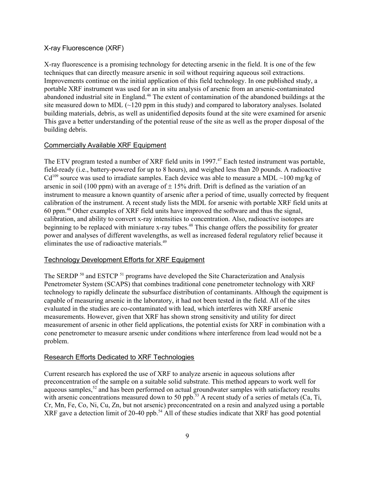### X-ray Fluorescence (XRF)

X-ray fluorescence is a promising technology for detecting arsenic in the field. It is one of the few techniques that can directly measure arsenic in soil without requiring aqueous soil extractions. Improvements continue on the initial application of this field technology. In one published study, a portable XRF instrument was used for an in situ analysis of arsenic from an arsenic-contaminated abandoned industrial site in England.46 The extent of contamination of the abandoned buildings at the site measured down to MDL  $\left(\sim\right)$  120 ppm in this study) and compared to laboratory analyses. Isolated building materials, debris, as well as unidentified deposits found at the site were examined for arsenic This gave a better understanding of the potential reuse of the site as well as the proper disposal of the building debris.

#### Commercially Available XRF Equipment

 $Cd<sup>109</sup>$  source was used to irradiate samples. Each device was able to measure a MDL ~100 mg/kg of The ETV program tested a number of XRF field units in 1997.<sup>47</sup> Each tested instrument was portable, field-ready (i.e., battery-powered for up to 8 hours), and weighed less than 20 pounds. A radioactive arsenic in soil (100 ppm) with an average of  $\pm$  15% drift. Drift is defined as the variation of an instrument to measure a known quantity of arsenic after a period of time, usually corrected by frequent calibration of the instrument. A recent study lists the MDL for arsenic with portable XRF field units at 60 ppm.46 Other examples of XRF field units have improved the software and thus the signal, calibration, and ability to convert x-ray intensities to concentration. Also, radioactive isotopes are beginning to be replaced with miniature x-ray tubes.<sup>48</sup> This change offers the possibility for greater power and analyses of different wavelengths, as well as increased federal regulatory relief because it eliminates the use of radioactive materials.49

#### Technology Development Efforts for XRF Equipment

The SERDP<sup>50</sup> and ESTCP<sup>51</sup> programs have developed the Site Characterization and Analysis Penetrometer System (SCAPS) that combines traditional cone penetrometer technology with XRF technology to rapidly delineate the subsurface distribution of contaminants. Although the equipment is capable of measuring arsenic in the laboratory, it had not been tested in the field. All of the sites evaluated in the studies are co-contaminated with lead, which interferes with XRF arsenic measurements. However, given that XRF has shown strong sensitivity and utility for direct measurement of arsenic in other field applications, the potential exists for XRF in combination with a cone penetrometer to measure arsenic under conditions where interference from lead would not be a problem.

#### Research Efforts Dedicated to XRF Technologies

Current research has explored the use of XRF to analyze arsenic in aqueous solutions after preconcentration of the sample on a suitable solid substrate. This method appears to work well for aqueous samples,<sup>52</sup> and has been performed on actual groundwater samples with satisfactory results with arsenic concentrations measured down to 50 ppb.<sup>53</sup> A recent study of a series of metals (Ca, Ti, Cr, Mn, Fe, Co, Ni, Cu, Zn, but not arsenic) preconcentrated on a resin and analyzed using a portable XRF gave a detection limit of 20-40 ppb.<sup>54</sup> All of these studies indicate that XRF has good potential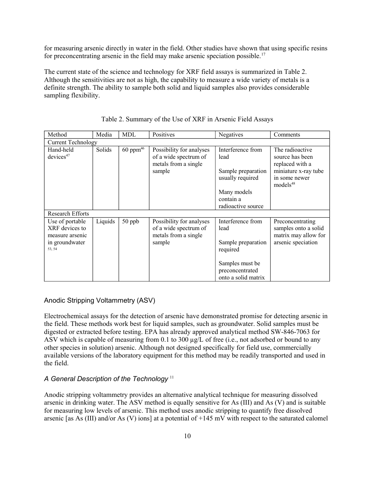for measuring arsenic directly in water in the field. Other studies have shown that using specific resins for preconcentrating arsenic in the field may make arsenic speciation possible.<sup>17</sup>

The current state of the science and technology for XRF field assays is summarized in Table 2. Although the sensitivities are not as high, the capability to measure a wide variety of metals is a definite strength. The ability to sample both solid and liquid samples also provides considerable sampling flexibility.

| Method                                               | Media   | MDL                    | Positives                                                                           | Negatives                                                           | Comments                                                                                       |
|------------------------------------------------------|---------|------------------------|-------------------------------------------------------------------------------------|---------------------------------------------------------------------|------------------------------------------------------------------------------------------------|
| <b>Current Technology</b>                            |         |                        |                                                                                     |                                                                     |                                                                                                |
| Hand-held<br>devices <sup>47</sup>                   | Solids  | $60$ ppm <sup>46</sup> | Possibility for analyses<br>of a wide spectrum of<br>metals from a single<br>sample | Interference from<br>lead<br>Sample preparation<br>usually required | The radioactive<br>source has been<br>replaced with a<br>miniature x-ray tube<br>in some newer |
|                                                      |         |                        |                                                                                     |                                                                     | models <sup>48</sup>                                                                           |
|                                                      |         |                        |                                                                                     | Many models<br>contain a                                            |                                                                                                |
|                                                      |         |                        |                                                                                     | radioactive source                                                  |                                                                                                |
| <b>Research Efforts</b>                              |         |                        |                                                                                     |                                                                     |                                                                                                |
| Use of portable<br>XRF devices to<br>measure arsenic | Liquids | 50 ppb                 | Possibility for analyses<br>of a wide spectrum of<br>metals from a single           | Interference from<br>lead                                           | Preconcentrating<br>samples onto a solid<br>matrix may allow for                               |
| in groundwater<br>53, 54                             |         |                        | sample                                                                              | Sample preparation<br>required                                      | arsenic speciation                                                                             |
|                                                      |         |                        |                                                                                     | Samples must be                                                     |                                                                                                |
|                                                      |         |                        |                                                                                     | preconcentrated                                                     |                                                                                                |
|                                                      |         |                        |                                                                                     | onto a solid matrix                                                 |                                                                                                |

Table 2. Summary of the Use of XRF in Arsenic Field Assays

#### Anodic Stripping Voltammetry (ASV)

Electrochemical assays for the detection of arsenic have demonstrated promise for detecting arsenic in the field. These methods work best for liquid samples, such as groundwater. Solid samples must be digested or extracted before testing. EPA has already approved analytical method SW-846-7063 for ASV which is capable of measuring from 0.1 to 300  $\mu$ g/L of free (i.e., not adsorbed or bound to any other species in solution) arsenic. Although not designed specifically for field use, commercially available versions of the laboratory equipment for this method may be readily transported and used in the field.

#### *A General Description of the Technology* <sup>11</sup>

Anodic stripping voltammetry provides an alternative analytical technique for measuring dissolved arsenic in drinking water. The ASV method is equally sensitive for As (III) and As (V) and is suitable for measuring low levels of arsenic. This method uses anodic stripping to quantify free dissolved arsenic [as As (III) and/or As (V) ions] at a potential of +145 mV with respect to the saturated calomel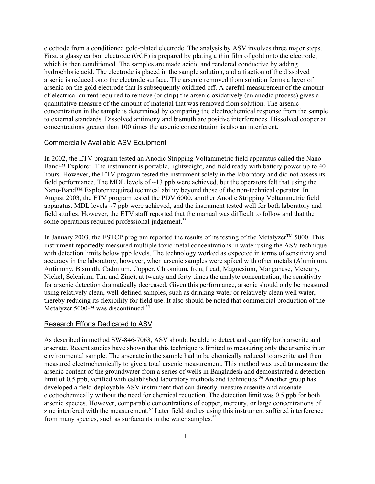electrode from a conditioned gold-plated electrode. The analysis by ASV involves three major steps. First, a glassy carbon electrode (GCE) is prepared by plating a thin film of gold onto the electrode, which is then conditioned. The samples are made acidic and rendered conductive by adding hydrochloric acid. The electrode is placed in the sample solution, and a fraction of the dissolved arsenic is reduced onto the electrode surface. The arsenic removed from solution forms a layer of arsenic on the gold electrode that is subsequently oxidized off. A careful measurement of the amount of electrical current required to remove (or strip) the arsenic oxidatively (an anodic process) gives a quantitative measure of the amount of material that was removed from solution. The arsenic concentration in the sample is determined by comparing the electrochemical response from the sample to external standards. Dissolved antimony and bismuth are positive interferences. Dissolved cooper at concentrations greater than 100 times the arsenic concentration is also an interferent.

#### Commercially Available ASV Equipment

In 2002, the ETV program tested an Anodic Stripping Voltammetric field apparatus called the Nano-Band™ Explorer. The instrument is portable, lightweight, and field ready with battery power up to 40 hours. However, the ETV program tested the instrument solely in the laboratory and did not assess its field performance. The MDL levels of  $\sim$ 13 ppb were achieved, but the operators felt that using the Nano-Band™ Explorer required technical ability beyond those of the non-technical operator. In August 2003, the ETV program tested the PDV 6000, another Anodic Stripping Voltammetric field apparatus. MDL levels ~7 ppb were achieved, and the instrument tested well for both laboratory and field studies. However, the ETV staff reported that the manual was difficult to follow and that the some operations required professional judgement.<sup>33</sup>

In January 2003, the ESTCP program reported the results of its testing of the Metalyzer<sup>TM</sup> 5000. This instrument reportedly measured multiple toxic metal concentrations in water using the ASV technique with detection limits below ppb levels. The technology worked as expected in terms of sensitivity and accuracy in the laboratory; however, when arsenic samples were spiked with other metals (Aluminum, Antimony, Bismuth, Cadmium, Copper, Chromium, Iron, Lead, Magnesium, Manganese, Mercury, Nickel, Selenium, Tin, and Zinc), at twenty and forty times the analyte concentration, the sensitivity for arsenic detection dramatically decreased. Given this performance, arsenic should only be measured using relatively clean, well-defined samples, such as drinking water or relatively clean well water, thereby reducing its flexibility for field use. It also should be noted that commercial production of the Metalyzer 5000™ was discontinued.55

#### Research Efforts Dedicated to ASV

As described in method SW-846-7063, ASV should be able to detect and quantify both arsenite and arsenate. Recent studies have shown that this technique is limited to measuring only the arsenite in an environmental sample. The arsenate in the sample had to be chemically reduced to arsenite and then measured electrochemically to give a total arsenic measurement. This method was used to measure the arsenic content of the groundwater from a series of wells in Bangladesh and demonstrated a detection limit of 0.5 ppb, verified with established laboratory methods and techniques.<sup>56</sup> Another group has developed a field-deployable ASV instrument that can directly measure arsenite and arsenate electrochemically without the need for chemical reduction. The detection limit was 0.5 ppb for both arsenic species. However, comparable concentrations of copper, mercury, or large concentrations of zinc interfered with the measurement.<sup>57</sup> Later field studies using this instrument suffered interference from many species, such as surfactants in the water samples.<sup>58</sup>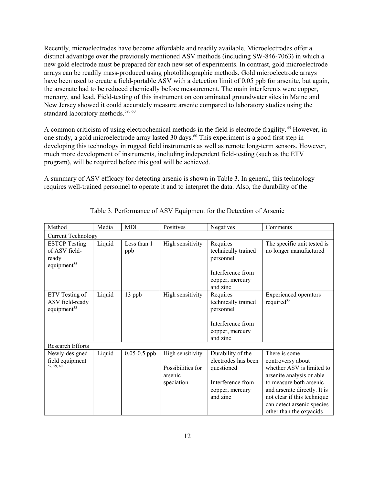Recently, microelectrodes have become affordable and readily available. Microelectrodes offer a distinct advantage over the previously mentioned ASV methods (including SW-846-7063) in which a new gold electrode must be prepared for each new set of experiments. In contrast, gold microelectrode arrays can be readily mass-produced using photolithographic methods. Gold microelectrode arrays have been used to create a field-portable ASV with a detection limit of 0.05 ppb for arsenite, but again, the arsenate had to be reduced chemically before measurement. The main interferents were copper, mercury, and lead. Field-testing of this instrument on contaminated groundwater sites in Maine and New Jersey showed it could accurately measure arsenic compared to laboratory studies using the standard laboratory methods.<sup>59, 60</sup>

A common criticism of using electrochemical methods in the field is electrode fragility. 45 However, in one study, a gold microelectrode array lasted 30 days.60 This experiment is a good first step in developing this technology in rugged field instruments as well as remote long-term sensors. However, much more development of instruments, including independent field-testing (such as the ETV program), will be required before this goal will be achieved.

A summary of ASV efficacy for detecting arsenic is shown in Table 3. In general, this technology requires well-trained personnel to operate it and to interpret the data. Also, the durability of the

| Method                                                       | Media                     | <b>MDL</b>       | Positives                                                      | Negatives                                                                                                  | Comments                                                                                                                                                                                                                                        |  |
|--------------------------------------------------------------|---------------------------|------------------|----------------------------------------------------------------|------------------------------------------------------------------------------------------------------------|-------------------------------------------------------------------------------------------------------------------------------------------------------------------------------------------------------------------------------------------------|--|
|                                                              | <b>Current Technology</b> |                  |                                                                |                                                                                                            |                                                                                                                                                                                                                                                 |  |
| <b>ESTCP</b> Testing                                         | Liquid                    | Less than 1      | High sensitivity                                               | Requires                                                                                                   | The specific unit tested is                                                                                                                                                                                                                     |  |
| of ASV field-<br>ready<br>equipment <sup>55</sup>            |                           | ppb              |                                                                | technically trained<br>personnel                                                                           | no longer manufactured                                                                                                                                                                                                                          |  |
|                                                              |                           |                  |                                                                | Interference from<br>copper, mercury<br>and zinc                                                           |                                                                                                                                                                                                                                                 |  |
| ETV Testing of<br>ASV field-ready<br>equipment <sup>33</sup> | Liquid                    | 13 ppb           | High sensitivity                                               | Requires<br>technically trained<br>personnel                                                               | <b>Experienced</b> operators<br>required <sup>33</sup>                                                                                                                                                                                          |  |
|                                                              |                           |                  |                                                                | Interference from<br>copper, mercury<br>and zinc                                                           |                                                                                                                                                                                                                                                 |  |
| <b>Research Efforts</b>                                      |                           |                  |                                                                |                                                                                                            |                                                                                                                                                                                                                                                 |  |
| Newly-designed<br>field equipment<br>57, 59, 60              | Liquid                    | $0.05 - 0.5$ ppb | High sensitivity<br>Possibilities for<br>arsenic<br>speciation | Durability of the<br>electrodes has been<br>questioned<br>Interference from<br>copper, mercury<br>and zinc | There is some<br>controversy about<br>whether ASV is limited to<br>arsenite analysis or able<br>to measure both arsenic<br>and arsenite directly. It is<br>not clear if this technique<br>can detect arsenic species<br>other than the oxyacids |  |

Table 3. Performance of ASV Equipment for the Detection of Arsenic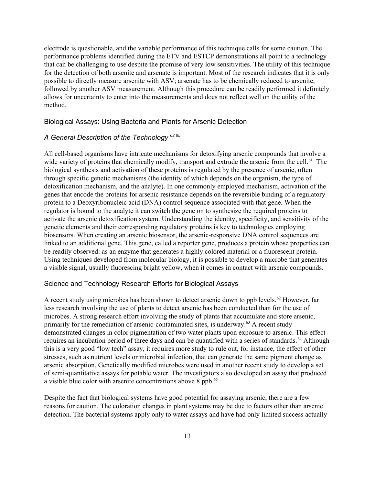electrode is questionable, and the variable performance of this technique calls for some caution. The performance problems identified during the ETV and ESTCP demonstrations all point to a technology that can be challenging to use despite the promise of very low sensitivities. The utility of this technique for the detection of both arsenite and arsenate is important. Most of the research indicates that it is only possible to directly measure arsenite with ASV; arsenate has to be chemically reduced to arsenite, followed by another ASV measurement. Although this procedure can be readily performed it definitely allows for uncertainty to enter into the measurements and does not reflect well on the utility of the method.

Biological Assays: Using Bacteria and Plants for Arsenic Detection

#### *A General Description of the Technology 62,65*

All cell-based organisms have intricate mechanisms for detoxifying arsenic compounds that involve a wide variety of proteins that chemically modify, transport and extrude the arsenic from the cell.<sup>61</sup> The biological synthesis and activation of these proteins is regulated by the presence of arsenic, often through specific genetic mechanisms (the identity of which depends on the organism, the type of detoxification mechanism, and the analyte). In one commonly employed mechanism, activation of the genes that encode the proteins for arsenic resistance depends on the reversible binding of a regulatory protein to a Deoxyribonucleic acid (DNA) control sequence associated with that gene. When the regulator is bound to the analyte it can switch the gene on to synthesize the required proteins to activate the arsenic detoxification system. Understanding the identity, specificity, and sensitivity of the genetic elements and their corresponding regulatory proteins is key to technologies employing biosensors. When creating an arsenic biosensor, the arsenic-responsive DNA control sequences are linked to an additional gene. This gene, called a reporter gene, produces a protein whose properties can be readily observed: as an enzyme that generates a highly colored material or a fluorescent protein. Using techniques developed from molecular biology, it is possible to develop a microbe that generates a visible signal, usually fluorescing bright yellow, when it comes in contact with arsenic compounds.

#### Science and Technology Research Efforts for Biological Assays

A recent study using microbes has been shown to detect arsenic down to ppb levels.<sup>62</sup> However, far less research involving the use of plants to detect arsenic has been conducted than for the use of microbes. A strong research effort involving the study of plants that accumulate and store arsenic, primarily for the remediation of arsenic-contaminated sites, is underway.<sup>63</sup> A recent study demonstrated changes in color pigmentation of two water plants upon exposure to arsenic. This effect requires an incubation period of three days and can be quantified with a series of standards.<sup>64</sup> Although this is a very good "low tech" assay, it requires more study to rule out, for instance, the effect of other stresses, such as nutrient levels or microbial infection, that can generate the same pigment change as arsenic absorption. Genetically modified microbes were used in another recent study to develop a set of semi-quantitative assays for potable water. The investigators also developed an assay that produced a visible blue color with arsenite concentrations above 8 ppb.<sup>65</sup>

Despite the fact that biological systems have good potential for assaying arsenic, there are a few reasons for caution. The coloration changes in plant systems may be due to factors other than arsenic detection. The bacterial systems apply only to water assays and have had only limited success actually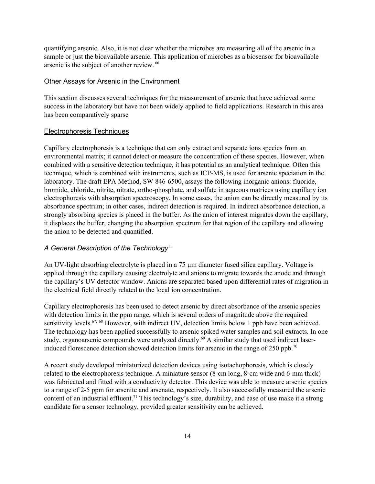quantifying arsenic. Also, it is not clear whether the microbes are measuring all of the arsenic in a sample or just the bioavailable arsenic. This application of microbes as a biosensor for bioavailable arsenic is the subject of another review. 66

#### Other Assays for Arsenic in the Environment

This section discusses several techniques for the measurement of arsenic that have achieved some success in the laboratory but have not been widely applied to field applications. Research in this area has been comparatively sparse

#### Electrophoresis Techniques

Capillary electrophoresis is a technique that can only extract and separate ions species from an environmental matrix; it cannot detect or measure the concentration of these species. However, when combined with a sensitive detection technique, it has potential as an analytical technique. Often this technique, which is combined with instruments, such as ICP-MS, is used for arsenic speciation in the laboratory. The draft EPA Method, SW 846-6500, assays the following inorganic anions: fluoride, bromide, chloride, nitrite, nitrate, ortho-phosphate, and sulfate in aqueous matrices using capillary ion electrophoresis with absorption spectroscopy. In some cases, the anion can be directly measured by its absorbance spectrum; in other cases, indirect detection is required. In indirect absorbance detection, a strongly absorbing species is placed in the buffer. As the anion of interest migrates down the capillary, it displaces the buffer, changing the absorption spectrum for that region of the capillary and allowing the anion to be detected and quantified.

#### *A General Description of the Technology*<sup>11</sup>

An UV-light absorbing electrolyte is placed in a 75 µm diameter fused silica capillary. Voltage is applied through the capillary causing electrolyte and anions to migrate towards the anode and through the capillary's UV detector window. Anions are separated based upon differential rates of migration in the electrical field directly related to the local ion concentration.

Capillary electrophoresis has been used to detect arsenic by direct absorbance of the arsenic species with detection limits in the ppm range, which is several orders of magnitude above the required sensitivity levels.<sup>67, 68</sup> However, with indirect UV, detection limits below 1 ppb have been achieved. The technology has been applied successfully to arsenic spiked water samples and soil extracts. In one study, organoarsenic compounds were analyzed directly.<sup>69</sup> A similar study that used indirect laserinduced florescence detection showed detection limits for arsenic in the range of 250 ppb.<sup>70</sup>

A recent study developed miniaturized detection devices using isotachophoresis, which is closely related to the electrophoresis technique. A miniature sensor (8-cm long, 8-cm wide and 6-mm thick) was fabricated and fitted with a conductivity detector. This device was able to measure arsenic species to a range of 2-5 ppm for arsenite and arsenate, respectively. It also successfully measured the arsenic content of an industrial effluent.<sup>71</sup> This technology's size, durability, and ease of use make it a strong candidate for a sensor technology, provided greater sensitivity can be achieved.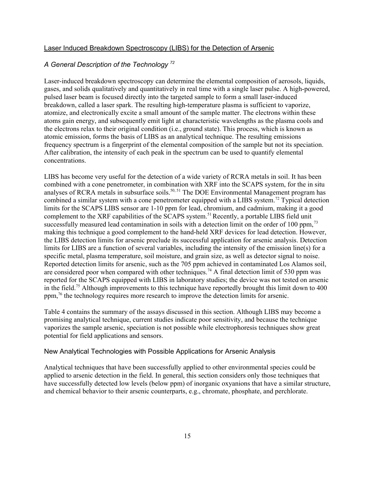#### Laser Induced Breakdown Spectroscopy (LIBS) for the Detection of Arsenic

#### *A General Description of the Technology 72*

Laser-induced breakdown spectroscopy can determine the elemental composition of aerosols, liquids, gases, and solids qualitatively and quantitatively in real time with a single laser pulse. A high-powered, pulsed laser beam is focused directly into the targeted sample to form a small laser-induced breakdown, called a laser spark. The resulting high-temperature plasma is sufficient to vaporize, atomize, and electronically excite a small amount of the sample matter. The electrons within these atoms gain energy, and subsequently emit light at characteristic wavelengths as the plasma cools and the electrons relax to their original condition (i.e., ground state). This process, which is known as atomic emission, forms the basis of LIBS as an analytical technique. The resulting emissions frequency spectrum is a fingerprint of the elemental composition of the sample but not its speciation. After calibration, the intensity of each peak in the spectrum can be used to quantify elemental concentrations.

LIBS has become very useful for the detection of a wide variety of RCRA metals in soil. It has been combined with a cone penetrometer, in combination with XRF into the SCAPS system, for the in situ analyses of RCRA metals in subsurface soils.<sup>50, 51</sup> The DOE Environmental Management program has combined a similar system with a cone penetrometer equipped with a LIBS system.<sup>72</sup> Typical detection limits for the SCAPS LIBS sensor are 1-10 ppm for lead, chromium, and cadmium, making it a good complement to the XRF capabilities of the SCAPS system.<sup>51</sup> Recently, a portable LIBS field unit successfully measured lead contamination in soils with a detection limit on the order of 100 ppm,<sup>73</sup> making this technique a good complement to the hand-held XRF devices for lead detection. However, the LIBS detection limits for arsenic preclude its successful application for arsenic analysis. Detection limits for LIBS are a function of several variables, including the intensity of the emission line(s) for a specific metal, plasma temperature, soil moisture, and grain size, as well as detector signal to noise. Reported detection limits for arsenic, such as the 705 ppm achieved in contaminated Los Alamos soil, are considered poor when compared with other techniques.<sup>74</sup> A final detection limit of 530 ppm was reported for the SCAPS equipped with LIBS in laboratory studies; the device was not tested on arsenic in the field.75 Although improvements to this technique have reportedly brought this limit down to 400 ppm,76 the technology requires more research to improve the detection limits for arsenic.

Table 4 contains the summary of the assays discussed in this section. Although LIBS may become a promising analytical technique, current studies indicate poor sensitivity, and because the technique vaporizes the sample arsenic, speciation is not possible while electrophoresis techniques show great potential for field applications and sensors.

#### New Analytical Technologies with Possible Applications for Arsenic Analysis

Analytical techniques that have been successfully applied to other environmental species could be applied to arsenic detection in the field. In general, this section considers only those techniques that have successfully detected low levels (below ppm) of inorganic oxyanions that have a similar structure, and chemical behavior to their arsenic counterparts, e.g., chromate, phosphate, and perchlorate.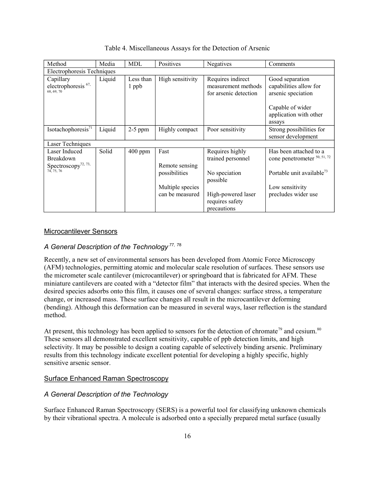| Method                                                        | Media  | MDL                | Positives              | Negatives                                                         | Comments                                                        |
|---------------------------------------------------------------|--------|--------------------|------------------------|-------------------------------------------------------------------|-----------------------------------------------------------------|
| Electrophoresis Techniques                                    |        |                    |                        |                                                                   |                                                                 |
| Capillary<br>electrophoresis <sup>67,</sup><br>68, 69, 70     | Liquid | Less than<br>1 ppb | High sensitivity       | Requires indirect<br>measurement methods<br>for arsenic detection | Good separation<br>capabilities allow for<br>arsenic speciation |
|                                                               |        |                    |                        |                                                                   | Capable of wider<br>application with other<br>assays            |
| Isotachophoresis <sup>71</sup>                                | Liquid | $2-5$ ppm          | Highly compact         | Poor sensitivity                                                  | Strong possibilities for<br>sensor development                  |
| Laser Techniques                                              |        |                    |                        |                                                                   |                                                                 |
| Laser Induced<br>Breakdown<br>Spectroscopy <sup>72, 73,</sup> | Solid  | $400$ ppm          | Fast<br>Remote sensing | Requires highly<br>trained personnel                              | Has been attached to a<br>cone penetrometer 50, 51, 72          |
| 74, 75, 76                                                    |        |                    | possibilities          | No speciation<br>possible                                         | Portable unit available <sup>73</sup>                           |
|                                                               |        |                    | Multiple species       |                                                                   | Low sensitivity                                                 |
|                                                               |        |                    | can be measured        | High-powered laser<br>requires safety<br>precautions              | precludes wider use                                             |

Table 4. Miscellaneous Assays for the Detection of Arsenic

#### Microcantilever Sensors

#### *A General Description of the Technology 77*, 78

Recently, a new set of environmental sensors has been developed from Atomic Force Microscopy (AFM) technologies, permitting atomic and molecular scale resolution of surfaces. These sensors use the micrometer scale cantilever (microcantilever) or springboard that is fabricated for AFM. These miniature cantilevers are coated with a "detector film" that interacts with the desired species. When the desired species adsorbs onto this film, it causes one of several changes: surface stress, a temperature change, or increased mass. These surface changes all result in the microcantilever deforming (bending). Although this deformation can be measured in several ways, laser reflection is the standard method.

At present, this technology has been applied to sensors for the detection of chromate<sup>79</sup> and cesium.<sup>80</sup> These sensors all demonstrated excellent sensitivity, capable of ppb detection limits, and high selectivity. It may be possible to design a coating capable of selectively binding arsenic. Preliminary results from this technology indicate excellent potential for developing a highly specific, highly sensitive arsenic sensor.

#### Surface Enhanced Raman Spectroscopy

#### *A General Description of the Technology*

Surface Enhanced Raman Spectroscopy (SERS) is a powerful tool for classifying unknown chemicals by their vibrational spectra. A molecule is adsorbed onto a specially prepared metal surface (usually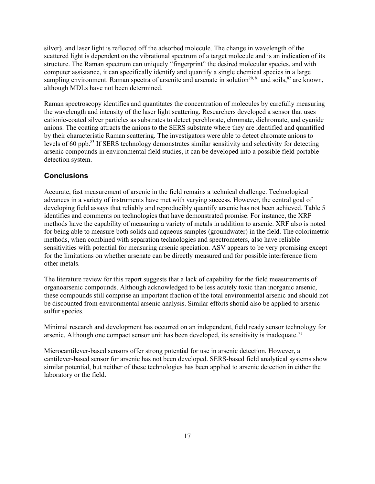silver), and laser light is reflected off the adsorbed molecule. The change in wavelength of the scattered light is dependent on the vibrational spectrum of a target molecule and is an indication of its structure. The Raman spectrum can uniquely "fingerprint" the desired molecular species, and with computer assistance, it can specifically identify and quantify a single chemical species in a large sampling environment. Raman spectra of arsenite and arsenate in solution<sup>20, 81</sup> and soils,  $82$  are known, although MDLs have not been determined.

Raman spectroscopy identifies and quantitates the concentration of molecules by carefully measuring the wavelength and intensity of the laser light scattering. Researchers developed a sensor that uses cationic-coated silver particles as substrates to detect perchlorate, chromate, dichromate, and cyanide anions. The coating attracts the anions to the SERS substrate where they are identified and quantified by their characteristic Raman scattering. The investigators were able to detect chromate anions to levels of 60 ppb.83 If SERS technology demonstrates similar sensitivity and selectivity for detecting arsenic compounds in environmental field studies, it can be developed into a possible field portable detection system.

### **Conclusions**

Accurate, fast measurement of arsenic in the field remains a technical challenge. Technological advances in a variety of instruments have met with varying success. However, the central goal of developing field assays that reliably and reproducibly quantify arsenic has not been achieved. Table 5 identifies and comments on technologies that have demonstrated promise. For instance, the XRF methods have the capability of measuring a variety of metals in addition to arsenic. XRF also is noted for being able to measure both solids and aqueous samples (groundwater) in the field. The colorimetric methods, when combined with separation technologies and spectrometers, also have reliable sensitivities with potential for measuring arsenic speciation. ASV appears to be very promising except for the limitations on whether arsenate can be directly measured and for possible interference from other metals.

The literature review for this report suggests that a lack of capability for the field measurements of organoarsenic compounds. Although acknowledged to be less acutely toxic than inorganic arsenic, these compounds still comprise an important fraction of the total environmental arsenic and should not be discounted from environmental arsenic analysis. Similar efforts should also be applied to arsenic sulfur species.

Minimal research and development has occurred on an independent, field ready sensor technology for arsenic. Although one compact sensor unit has been developed, its sensitivity is inadequate.<sup>71</sup>

Microcantilever-based sensors offer strong potential for use in arsenic detection. However, a cantilever-based sensor for arsenic has not been developed. SERS-based field analytical systems show similar potential, but neither of these technologies has been applied to arsenic detection in either the laboratory or the field.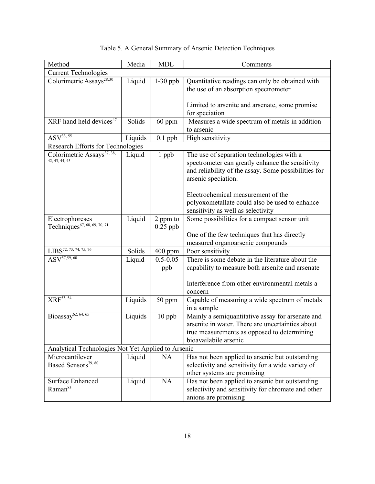| Method                                             | Media   | <b>MDL</b>   | Comments                                                     |
|----------------------------------------------------|---------|--------------|--------------------------------------------------------------|
| <b>Current Technologies</b>                        |         |              |                                                              |
| Colorimetric Assays <sup>28,30</sup>               | Liquid  | $1-30$ ppb   | Quantitative readings can only be obtained with              |
|                                                    |         |              | the use of an absorption spectrometer                        |
|                                                    |         |              |                                                              |
|                                                    |         |              | Limited to arsenite and arsenate, some promise               |
| XRF hand held devices <sup>47</sup>                |         |              | for speciation                                               |
|                                                    | Solids  | 60 ppm       | Measures a wide spectrum of metals in addition<br>to arsenic |
| ASV <sup>33, 55</sup>                              | Liquids | $0.1$ ppb    | High sensitivity                                             |
| <b>Research Efforts for Technologies</b>           |         |              |                                                              |
| Colorimetric Assays <sup>37, 38,</sup>             | Liquid  | 1 ppb        | The use of separation technologies with a                    |
| 42, 43, 44, 45                                     |         |              | spectrometer can greatly enhance the sensitivity             |
|                                                    |         |              | and reliability of the assay. Some possibilities for         |
|                                                    |         |              | arsenic speciation.                                          |
|                                                    |         |              |                                                              |
|                                                    |         |              | Electrochemical measurement of the                           |
|                                                    |         |              | polyoxometallate could also be used to enhance               |
|                                                    |         |              | sensitivity as well as selectivity                           |
| Electrophoreses                                    | Liquid  | 2 ppm to     | Some possibilities for a compact sensor unit                 |
| Techniques <sup>67, 68, 69, 70, 71</sup>           |         | $0.25$ ppb   |                                                              |
|                                                    |         |              | One of the few techniques that has directly                  |
|                                                    |         |              | measured organoarsenic compounds                             |
| LIBS <sup>72, 73, 74, 75, 76</sup>                 | Solids  | 400 ppm      | Poor sensitivity                                             |
| $\overline{\text{ASV}^{57,59,\,60}}$               | Liquid  | $0.5 - 0.05$ | There is some debate in the literature about the             |
|                                                    |         | ppb          | capability to measure both arsenite and arsenate             |
|                                                    |         |              | Interference from other environmental metals a               |
|                                                    |         |              | concern                                                      |
| $XRF^{53, 54}$                                     | Liquids | 50 ppm       | Capable of measuring a wide spectrum of metals               |
|                                                    |         |              | in a sample                                                  |
| Bioassay <sup>62, 64, 65</sup>                     | Liquids | $10$ ppb     | Mainly a semiquantitative assay for arsenate and             |
|                                                    |         |              | arsenite in water. There are uncertainties about             |
|                                                    |         |              | true measurements as opposed to determining                  |
|                                                    |         |              | bioavailabile arsenic                                        |
| Analytical Technologies Not Yet Applied to Arsenic |         |              |                                                              |
| Microcantilever                                    | Liquid  | NA           | Has not been applied to arsenic but outstanding              |
| Based Sensors <sup>79, 80</sup>                    |         |              | selectivity and sensitivity for a wide variety of            |
|                                                    |         |              | other systems are promising                                  |
| <b>Surface Enhanced</b>                            | Liquid  | NA           | Has not been applied to arsenic but outstanding              |
| Raman <sup>83</sup>                                |         |              | selectivity and sensitivity for chromate and other           |
|                                                    |         |              | anions are promising                                         |

## Table 5. A General Summary of Arsenic Detection Techniques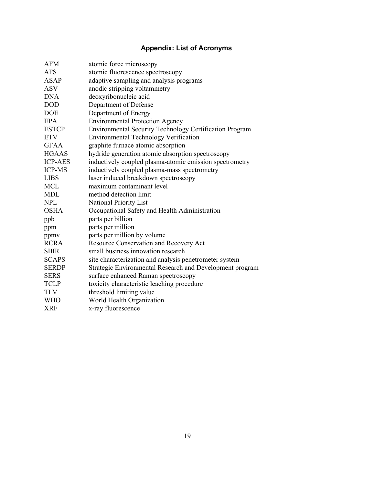# **Appendix: List of Acronyms**

| <b>AFM</b>     | atomic force microscopy                                  |
|----------------|----------------------------------------------------------|
| <b>AFS</b>     | atomic fluorescence spectroscopy                         |
| <b>ASAP</b>    | adaptive sampling and analysis programs                  |
| <b>ASV</b>     | anodic stripping voltammetry                             |
| <b>DNA</b>     | deoxyribonucleic acid                                    |
| <b>DOD</b>     | Department of Defense                                    |
| <b>DOE</b>     | Department of Energy                                     |
| <b>EPA</b>     | <b>Environmental Protection Agency</b>                   |
| <b>ESTCP</b>   | Environmental Security Technology Certification Program  |
| <b>ETV</b>     | <b>Environmental Technology Verification</b>             |
| <b>GFAA</b>    | graphite furnace atomic absorption                       |
| <b>HGAAS</b>   | hydride generation atomic absorption spectroscopy        |
| <b>ICP-AES</b> | inductively coupled plasma-atomic emission spectrometry  |
| <b>ICP-MS</b>  | inductively coupled plasma-mass spectrometry             |
| <b>LIBS</b>    | laser induced breakdown spectroscopy                     |
| <b>MCL</b>     | maximum contaminant level                                |
| <b>MDL</b>     | method detection limit                                   |
| <b>NPL</b>     | National Priority List                                   |
| <b>OSHA</b>    | Occupational Safety and Health Administration            |
| ppb            | parts per billion                                        |
| ppm            | parts per million                                        |
| ppmy           | parts per million by volume                              |
| <b>RCRA</b>    | Resource Conservation and Recovery Act                   |
| <b>SBIR</b>    | small business innovation research                       |
| <b>SCAPS</b>   | site characterization and analysis penetrometer system   |
| <b>SERDP</b>   | Strategic Environmental Research and Development program |
| <b>SERS</b>    | surface enhanced Raman spectroscopy                      |
| <b>TCLP</b>    | toxicity characteristic leaching procedure               |
| <b>TLV</b>     | threshold limiting value                                 |
| <b>WHO</b>     | World Health Organization                                |
| <b>XRF</b>     | x-ray fluorescence                                       |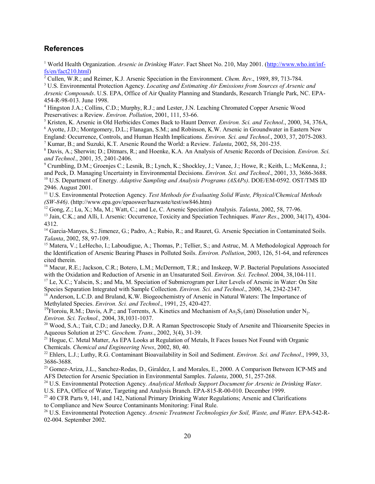#### **References**

<sup>1</sup> World Health Organization. *Arsenic in Drinking Water*. Fact Sheet No. 210, May 2001. ([http://www.who.int/inf](http://www.who.int/inf-)fs/en/fact210.html)

2 Cullen, W.R.; and Reimer, K.J. Arsenic Speciation in the Environment. *Chem. Rev*., 1989, 89, 713-784.

3 U.S. Environmental Protection Agency. *Locating and Estimating Air Emissions from Sources of Arsenic and Arsenic Compounds*. U.S. EPA, Office of Air Quality Planning and Standards, Research Triangle Park, NC. EPA-454-R-98-013. June 1998.

4 Hingston J.A.; Collins, C.D.; Murphy, R.J.; and Lester, J.N. Leaching Chromated Copper Arsenic Wood Preservatives: a Review. *Environ. Pollution*, 2001, 111, 53-66.

<sup>5</sup> Kristen, K. Arsenic in Old Herbicides Comes Back to Haunt Denver. *Environ. Sci. and Technol.*, 2000, 34, 376A, 6<br>6 Avotte, J.D.: Montgomery, D.J.: Elanagan, S.M.: and Pobinson, K.W. Arsenic in Groundwater in Eastern N <sup>6</sup> Ayotte, J.D.; Montgomery, D.L.; Flanagan, S.M.; and Robinson, K.W. Arsenic in Groundwater in Eastern New England: Occurrence, Controls, and Human Health Implications. *Environ. Sci. and Technol*., 2003, 37, 2075-2083.

7 Kumar, B.; and Suzuki, K.T. Arsenic Round the World: a Review. *Talanta*, 2002, 58, 201-235.

8 Davis, A.; Sherwin; D.; Ditmars, R.; and Hoenke, K.A. An Analysis of Arsenic Records of Decision. *Environ. Sci. and Technol.*, 2001, 35, 2401-2406.

9 Crumbling, D.M.; Groenjes C.; Lesnik, B.; Lynch, K.; Shockley, J.; Vanee, J.; Howe, R.; Keith, L.; McKenna, J.; and Peck, D. Managing Uncertainty in Environmental Decisions. *Environ. Sci. and Technol*., 2001, 33, 3686-3688. 10 U.S. Department of Energy. *Adaptive Sampling and Analysis Programs (ASAPs)*. DOE/EM-0592. OST/TMS ID 2946. August 2001.

11 U.S. Environmental Protection Agency. *Test Methods for Evaluating Solid Waste, Physical/Chemical Methods (SW-846)*. ([http://www.epa.gov/epaoswer/hazwaste/test/sw846.htm\)](http://www.epa.gov/epaoswer/hazwaste/test/sw846.htm)

12 Gong, Z.; Lu, X.; Ma, M.; Watt, C.; and Le, C. Arsenic Speciation Analysis. *Talanta*, 2002, 58, 77-96.

13 Jain, C.K.; and Alli, I. Arsenic: Occurrence, Toxicity and Speciation Techniques. *Water Res*., 2000, 34(17), 4304 4312.

<sup>14</sup> Garcia-Manyes, S.; Jimenez, G.; Padro, A.; Rubio, R.; and Rauret, G. Arsenic Speciation in Contaminated Soils. *Talanta*, 2002, 58, 97-109.

<sup>15</sup> Matera, V.; LeHecho, I.; Laboudigue, A.; Thomas, P.; Tellier, S.; and Astruc, M. A Methodological Approach for the Identification of Arsenic Bearing Phases in Polluted Soils. *Environ. Pollution*, 2003, 126, 51-64, and references cited therein.

<sup>16</sup> Macur, R.E.; Jackson, C.R.; Botero, L.M.; McDermott, T.R.; and Inskeep, W.P. Bacterial Populations Associated with the Oxidation and Reduction of Arsenic in an Unsaturated Soil. *Environ. Sci. Technol*. 2004, 38,104-111.

<sup>17</sup> Le, X.C.; Yalscin, S.; and Ma, M. Speciation of Submicrogram per Liter Levels of Arsenic in Water: On Site Species Separation Integrated with Sample Collection. *Environ. Sci. and Technol*., 2000, 34, 2342-2347.

<sup>18</sup> Anderson, L.C.D. and Bruland, K.W. Biogeochemistry of Arsenic in Natural Waters: The Importance of Methylated Species. *Environ. Sci. and Technol*., 1991, 25, 420-427.

<sup>19</sup>Floroiu, R.M.; Davis, A.P.; and Torrents, A. Kinetics and Mechanism of As<sub>2</sub>S<sub>3</sub> (am) Dissolution under N<sub>2</sub>. *Environ. Sci. Technol.,* 2004, 38,1031-1037.

<sup>20</sup> Wood, S.A.; Tait, C.D.; and Janecky, D.R. A Raman Spectroscopic Study of Arsenite and Thioarsenite Species in Aqueous Solution at 25°C. *Geochem. Trans.*, 2002, 3(4), 31-39.

<sup>21</sup> Hogue, C. Metal Matter, As EPA Looks at Regulation of Metals, It Faces Issues Not Found with Organic Chemicals. *Chemical and Engineering News*, 2002, 80, 40.

22 Ehlers, L.J.; Luthy, R.G. Contaminant Bioavailability in Soil and Sediment. *Environ. Sci. and Technol*., 1999, 33, 3686-3688.

<sup>23</sup> Gomez-Ariza, J.L., Sanchez-Rodas, D., Giraldez, I. and Morales, E., 2000. A Comparison Between ICP-MS and AFS Detection for Arsenic Speciation in Environmental Samples. *Talanta*, 2000, 51, 257-268.

<sup>24</sup> U.S. Environmental Protection Agency. *Analytical Methods Support Document for Arsenic in Drinking Water*. U.S. EPA, Office of Water, Targeting and Analysis Branch. EPA-815-R-00-010. December 1999.

<sup>25</sup> 40 CFR Parts 9, 141, and 142, National Primary Drinking Water Regulations; Arsenic and Clarifications to Compliance and New Source Contaminants Monitoring: Final Rule.

26 U.S. Environmental Protection Agency. *Arsenic Treatment Technologies for Soil, Waste, and Water.* EPA-542-R-02-004. September 2002.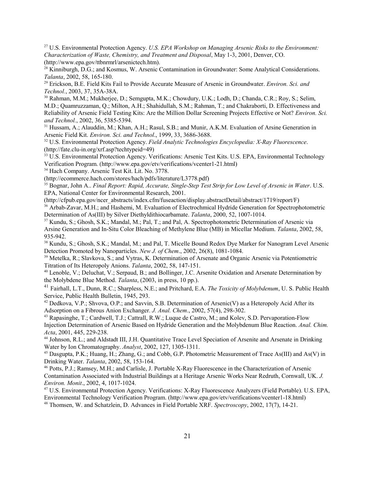27 U.S. Environmental Protection Agency. *U.S. EPA Workshop on Managing Arsenic Risks to the Environment: Characterization of Waste, Chemistry, and Treatment and Disposal*, May 1-3, 2001, Denver, CO. [\(http://www.epa.gov/ttbnrmrl/arsenictech.htm](http://www.epa.gov/ttbnrmrl/arsenictech.htm)).

<sup>28</sup> Kinniburgh, D.G.; and Kosmus, W. Arsenic Contamination in Groundwater: Some Analytical Considerations. *Talanta*, 2002, 58, 165-180.

29 Erickson, B.E. Field Kits Fail to Provide Accurate Measure of Arsenic in Groundwater. *Environ. Sci. and Technol.*, 2003, 37, 35A-38A.<br><sup>30</sup> Rahman, M.M.; Mukherjee, D.; Semgupta, M.K.; Chowdury, U.K.; Lodh, D.; Chanda, C.R.; Roy, S.; Selim,

M.D.; Quamruzzaman, Q.; Milton, A.H.; Shahidullah, S.M.; Rahman, T.; and Chakraborti, D. Effectiveness and Reliability of Arsenic Field Testing Kits: Are the Million Dollar Screening Projects Effective or Not? *Environ. Sci. and Technol.*, 2002, 36, 5385-5394.

<sup>31</sup> Hussam, A.; Alauddin, M.; Khan, A.H.; Rasul, S.B.; and Munir, A.K.M. Evaluation of Arsine Generation in Arsenic Field Kit. *Environ. Sci. and Technol*., 1999, 33, 3686-3688.

32 U.S. Environmental Protection Agency. *Field Analytic Technologies Encyclopedia: X-Ray Fluorescence*. [\(http://fate.clu-in.org/xrf.asp?techtypeid=49\)](http://fate.clu-in.org/xrf.asp?techtypeid=49)

<sup>33</sup> U.S. Environmental Protection Agency. Verifications: Arsenic Test Kits. U.S. EPA, Environmental Technology Verification Program. ([http://www.epa.gov/etv/verifications/vcenter1-21.html\)](http://www.epa.gov/etv/verifications/vcenter1-21.html)

34 Hach Company. Arsenic Test Kit. Lit. No. 3778.

[\(http://ecommerce.hach.com/stores/hach/pdfs/literature/L3778.pdf\)](http://ecommerce.hach.com/stores/hach/pdfs/literature/L3778.pdf)

35 Bognar, John A.. *Final Report: Rapid, Accurate, Single-Step Test Strip for Low Level of Arsenic in Water*. U.S. EPA, National Center for Environmental Research, 2001.

[\(http://cfpub.epa.gov/ncer\\_abstracts/index.cfm/fuseaction/display.abstractDetail/abstract/1719/report/F\)](http://cfpub.epa.gov/ncer_abstracts/index.cfm/fuseaction/display.abstractDetail/abstract/1719/report/F)

36 Arbab-Zavar, M.H.; and Hashemi, M. Evaluation of Electrochmical Hydride Generation for Spectrophotometric Determination of As(III) by Silver Diethyldithiocarbamate. *Talanta*, 2000, 52, 1007-1014.

37 Kundu, S.; Ghosh, S.K.; Mandal, M.; Pal, T.; and Pal, A. Spectrophotometric Determination of Arsenic via Arsine Generation and In-Situ Color Bleaching of Methylene Blue (MB) in Micellar Medium. *Talanta*, 2002, 58, 935-942.

<sup>38</sup> Kundu, S.; Ghosh, S.K.; Mandal, M.; and Pal, T. Micelle Bound Redox Dye Marker for Nanogram Level Arsenic Detection Promoted by Nanoparticles. *New J. of Chem*., 2002, 26(8), 1081-1084.

<sup>39</sup> Metelka, R.; Slavkova, S.; and Vytras, K. Determination of Arsenate and Organic Arsenic via Potentiometric Titration of Its Heteropoly Anions. *Talanta*, 2002, 58, 147-151.

40 Lenoble, V.; Deluchat, V.; Serpaud, B.; and Bollinger, J.C. Arsenite Oxidation and Arsenate Determination by the Molybdene Blue Method. *Talanta*, (2003, in press, 10 pp.).

41 Fairhall, L.T., Dunn, R.C.; Sharpless, N.E.; and Pritchard, E.A. *The Toxicity of Molybdenum*, U. S. Public Health Service, Public Health Bulletin, 1945, 293.

<sup>42</sup> Dedkova, V.P.; Shvova, O.P.; and Savvin, S.B. Determination of Arsenic(V) as a Heteropoly Acid After its Adsorption on a Fibrous Anion Exchanger. *J. Anal. Chem*., 2002, 57(4), 298-302.

43 Rapasinghe, T.; Cardwell, T.J.; Cattrall, R.W.; Luque de Castro, M.; and Kolev, S.D. Pervaporation-Flow Injection Determination of Arsenic Based on Hydride Generation and the Molybdenum Blue Reaction. *Anal. Chim. Acta*, 2001, 445, 229-238.

44 Johnson, R.L.; and Aldstadt III, J.H. Quantitative Trace Level Speciation of Arsenite and Arsenate in Drinking Water by Ion Chromatography. *Analyst*, 2002, 127, 1305-1311.

45 Dasgupta, P.K.; Huang, H.; Zhang, G.; and Cobb, G.P. Photometric Measurement of Trace As(III) and As(V) in Drinking Water. *Talanta*, 2002, 58, 153-164.

46 Potts, P.J.; Ramsey, M.H.; and Carlisle, J. Portable X-Ray Fluorescence in the Characterization of Arsenic Contamination Associated with Industrial Buildings at a Heritage Arsenic Works Near Redruth, Cornwall, UK. *J. Environ. Monit*., 2002, 4, 1017-1024.

47 U.S. Environmental Protection Agency. Verifications: X-Ray Fluorescence Analyzers (Field Portable). U.S. EPA, Environmental Technology Verification Program. ([http://www.epa.gov/etv/verifications/vcenter1-18.html\)](http://www.epa.gov/etv/verifications/vcenter1-18.html) 48 Thomsen, W. and Schatzlein, D. Advances in Field Portable XRF. *Spectroscopy*, 2002, 17(7), 14-21.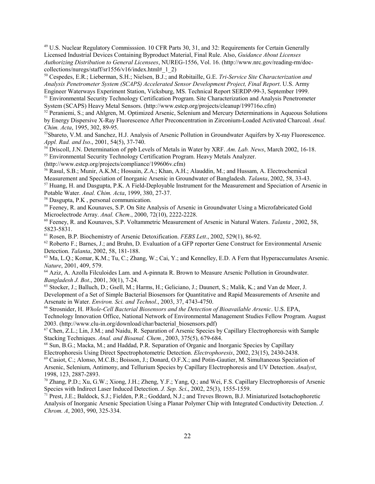49 U.S. Nuclear Regulatory Commisssion. 10 CFR Parts 30, 31, and 32: Requirements for Certain Generally Licensed Industrial Devices Containing Byproduct Material, Final Rule. Also, *Guidance About Licenses Authorizing Distribution to General Licensees*, NUREG-1556, Vol. 16. ([http://www.nrc.gov/reading-rm/doc](http://www.nrc.gov/reading-rm/doc-)collections/nuregs/staff/sr1556/v16/index.html#  $1\,2$ )

50 Cespedes, E.R.; Lieberman, S.H.; Nielsen, B.J.; and Robitaille, G.E. *Tri-Service Site Characterization and Analysis Penetrometer System (SCAPS) Accelerated Sensor Development Project, Final Report*. U.S. Army Engineer Waterways Experiment Station, Vicksburg, MS. Technical Report SERDP-99-3, September 1999.

<sup>51</sup> Environmental Security Technology Certification Program. Site Characterization and Analysis Penetrometer System (SCAPS) Heavy Metal Sensors. [\(http://www.estcp.org/projects/cleanup/199716o.cfm\)](http://www.estcp.org/projects/cleanup/199716o.cfm)

<sup>52</sup> Peraniemi, S.; and Ahlgren, M. Optimized Arsenic, Selenium and Mercury Determinations in Aqueous Solutions by Energy Dispersive X-Ray Fluorescence After Preconcentration in Zirconium-Loaded Activated Charcoal. *Anal. Chim. Acta*, 1995, 302, 89-95.

53Sbareto, V.M. and Sanchez, H.J. Analysis of Arsenic Pollution in Groundwater Aquifers by X-ray Fluorescence. *Appl. Rad. and Iso*., 2001, 54(5), 37-740.

54 Driscoll, J.N. Determination of ppb Levels of Metals in Water by XRF. *Am. Lab. News*, March 2002, 16-18.

55 Environmental Security Technology Certification Program. Heavy Metals Analyzer.

[\(http://www.estcp.org/projects/compliance/199606v.cfm\)](http://www.estcp.org/projects/compliance/199606v.cfm)

56 Rasul, S.B.; Munir, A.K.M.; Hossain, Z.A.; Khan, A.H.; Alauddin, M.; and Hussam, A. Electrochemical Measurement and Speciation of Inorganic Arsenic in Groundwater of Bangladesh. *Talanta*, 2002, 58, 33-43.

57 Huang, H. and Dasgupta, P.K. A Field-Deployable Instrument for the Measurement and Speciation of Arsenic in Potable Water. *Anal. Chim. Acta*, 1999, 380, 27-37.

58 Dasgupta, P.K , personal communication.

59 Feeney, R. and Kounaves, S.P. On Site Analysis of Arsenic in Groundwater Using a Microfabricated Gold Microelectrode Array. *Anal. Chem*., 2000, 72(10), 2222-2228.

60 Feeney, R. and Kounaves, S.P. Voltammetric Measurement of Arsenic in Natural Waters. *Talanta* , 2002, 58, 5823-5831.

61 Rosen, B.P. Biochemistry of Arsenic Detoxification. *FEBS Lett*., 2002, 529(1), 86-92.

62 Roberto F.; Barnes, J.; and Bruhn, D. Evaluation of a GFP reporter Gene Construct for Environmental Arsenic Detection. *Talanta*, 2002, 58, 181-188.

63 Ma, L.Q.; Komar, K.M.; Tu, C.; Zhang, W.; Cai, Y.; and Kennelley, E.D. A Fern that Hyperaccumulates Arsenic. *Nature*, 2001, 409, 579.

64 Aziz, A. Azolla Filculoides Lam. and A-pinnata R. Brown to Measure Arsenic Pollution in Groundwater. *Bangladesh J. Bot.*, 2001, 30(1), 7-24.<br><sup>65</sup> Stocker, J.; Balluch, D.; Gsell, M.; Harms, H.; Geliciano, J.; Daunert, S.; Malik, K.; and Van de Meer, J.

Development of a Set of Simple Bacterial Biosensors for Quantitative and Rapid Measurements of Arsenite and Arsenate in Water. *Environ. Sci. and Technol*., 2003, 37, 4743-4750.

66 Strosnider, H. *Whole-Cell Bacterial Biosensors and the Detection of Bioavailable Arsenic*. U.S. EPA, Technology Innovation Office, National Network of Environmental Management Studies Fellow Program. August 2003. [\(http://www.clu-in.org/download/char/bacterial\\_biosensors.pdf\)](http://www.clu-in.org/download/char/bacterial_biosensors.pdf)

 $67$  Chen, Z.L.; Lin, J.M.; and Naidu, R. Separation of Arsenic Species by Capillary Electrophoresis with Sample Stacking Techniques. *Anal. and Bioanal. Chem.*, 2003, 375(5), 679-684.

68 Sun, B.G.; Macka, M.; and Haddad, P.R. Separation of Organic and Inorganic Species by Capillary Electrophoresis Using Direct Spectrophotometric Detection. *Electrophoresis*, 2002, 23(15), 2430-2438.

69 Casiot, C.; Alonso, M.C.B.; Boisson, J.; Donard, O.F.X.; and Potin-Gautier, M. Simultaneous Speciation of Arsenic, Selenium, Antimony, and Tellurium Species by Capillary Electrophoresis and UV Detection. *Analyst*, 1998, 123, 2887-2893.

70 Zhang, P.D.; Xu, G.W.; Xiong, J.H.; Zheng, Y.F.; Yang, Q.; and Wei, F.S. Capillary Electrophoresis of Arsenic Species with Indirect Laser Induced Detection. *J. Sep. Sci*., 2002, 25(3), 1555-1559.

71 Prest, J.E.; Baldock, S.J.; Fielden, P.R.; Goddard, N.J.; and Treves Brown, B.J. Miniaturized Isotachophoretic Analysis of Inorganic Arsenic Speciation Using a Planar Polymer Chip with Integrated Conductivity Detection. *J. Chrom. A*, 2003, 990, 325-334.